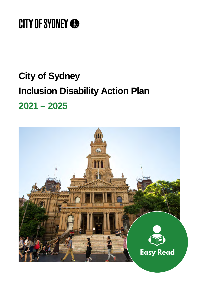# **CITY OF SYDNEY ®**

# **City of Sydney Inclusion Disability Action Plan 2021 – 2025**

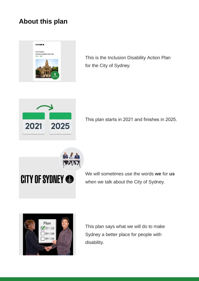#### **About this plan**



**2021 2025** This is the Inclusion Disability Action Plan for the City of Sydney.



This plan starts in 2021 and finishes in 2025.



We will sometimes use the words **we** for **us**  when we talk about the City of Sydney.



This plan says what we will do to make Sydney a better place for people with disability.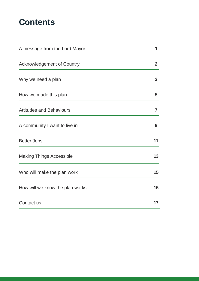# **Contents**

| A message from the Lord Mayor     | 1            |
|-----------------------------------|--------------|
| <b>Acknowledgement of Country</b> | $\mathbf{2}$ |
| Why we need a plan                | 3            |
| How we made this plan             | 5            |
| <b>Attitudes and Behaviours</b>   | 7            |
| A community I want to live in     | 9            |
| <b>Better Jobs</b>                | 11           |
| <b>Making Things Accessible</b>   | 13           |
| Who will make the plan work       | 15           |
| How will we know the plan works   | 16           |
| Contact us                        | 17           |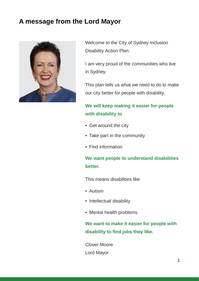#### <span id="page-3-0"></span>**A message from the Lord Mayor**



Welcome to the City of Sydney Inclusion Disability Action Plan.

I am very proud of the communities who live in Sydney.

This plan tells us what we need to do to make our city better for people with disability.

#### **We will keep making it easier for people with disability to**

- Get around the city
- Take part in the community
- Find information

#### **We want people to understand disabilities better.**

This means disabilities like

- Autism
- Intellectual disability
- Mental health problems

**We want to make it easier for people with disability to find jobs they like.** 

Clover Moore Lord Mayor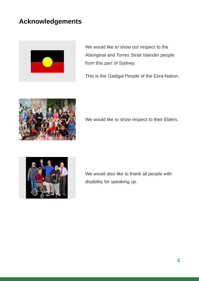### <span id="page-4-0"></span>**Acknowledgements**



We would like to show our respect to the Aboriginal and Torres Strait Islander people from this part of Sydney.

This is the Gadigal People of the Eora Nation.



We would like to show respect to their Elders.



We would also like to thank all people with disability for speaking up.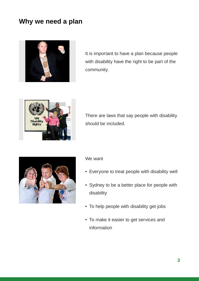#### <span id="page-5-0"></span>**Why we need a plan**



It is important to have a plan because people with disability have the right to be part of the community.



There are laws that say people with disability should be included.



#### We want

- Everyone to treat people with disability well
- Sydney to be a better place for people with disability
- To help people with disability get jobs
- To make it easier to get services and information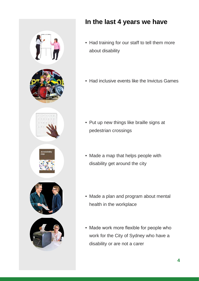

# **In the last 4 years we have**

- Had training for our staff to tell them more about disability
- Had inclusive events like the Invictus Games

- Put up new things like braille signs at pedestrian crossings
- Made a map that helps people with disability get around the city
- Made a plan and program about mental health in the workplace
- Made work more flexible for people who work for the City of Sydney who have a disability or are not a carer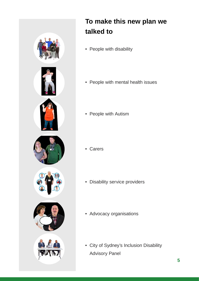<span id="page-7-0"></span>

# **To make this new plan we talked to**

- People with disability
- People with mental health issues
- People with Autism

- Carers
- Disability service providers
- Advocacy organisations
- City of Sydney's Inclusion Disability Advisory Panel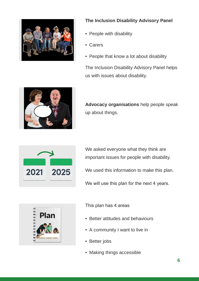

#### **The Inclusion Disability Advisory Panel**

- People with disability
- Carers
- People that know a lot about disability

The Inclusion Disability Advisory Panel helps us with issues about disability.



**Advocacy organisations** help people speak up about things.



We asked everyone what they think are important issues for people with disability.

We used this information to make this plan.

We will use this plan for the next 4 years.



This plan has 4 areas

- Better attitudes and behaviours
- A community I want to live in
- Better jobs
- Making things accessible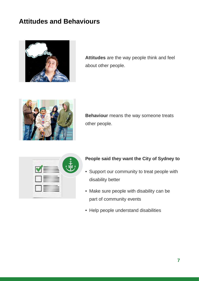### <span id="page-9-0"></span>**Attitudes and Behaviours**



**Attitudes** are the way people think and feel about other people.



**Behaviour** means the way someone treats other people.

|  | ╟┋┿╍ӿ |
|--|-------|
|  |       |
|  |       |
|  |       |

#### **People said they want the City of Sydney to**

- Support our community to treat people with disability better
- Make sure people with disability can be part of community events
- Help people understand disabilities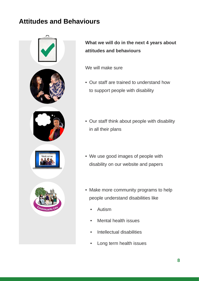## **Attitudes and Behaviours**



**What we will do in the next 4 years about attitudes and behaviours** 

We will make sure

- Our staff are trained to understand how to support people with disability
- Our staff think about people with disability in all their plans
- We use good images of people with disability on our website and papers
- Make more community programs to help people understand disabilities like
	- Autism
	- Mental health issues
	- Intellectual disabilities
	- Long term health issues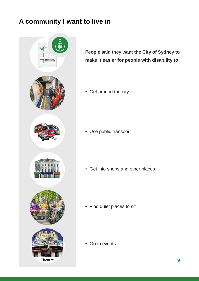# <span id="page-11-0"></span>**A community I want to live in**



**People said they want the City of Sydney to make it easier for people with disability to** 

• Get around the city

• Use public transport

• Get into shops and other places

• Find quiet places to sit

• Go to events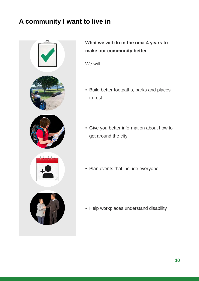# **A community I want to live in**



#### **What we will do in the next 4 years to make our community better**

We will

- Build better footpaths, parks and places to rest
- Give you better information about how to get around the city
- Plan events that include everyone

• Help workplaces understand disability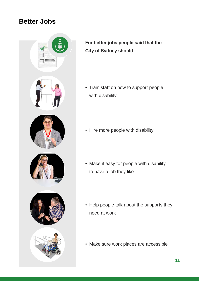#### <span id="page-13-0"></span>**Better Jobs**



#### **For better jobs people said that the City of Sydney should**

• Train staff on how to support people with disability

- Hire more people with disability
- Make it easy for people with disability to have a job they like
- Help people talk about the supports they need at work
- Make sure work places are accessible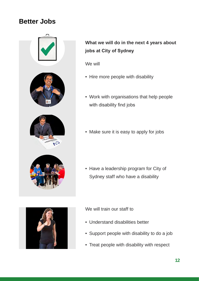#### **Better Jobs**



#### **What we will do in the next 4 years about jobs at City of Sydney**

We will

- Hire more people with disability
- Work with organisations that help people with disability find jobs
- Make sure it is easy to apply for jobs

• Have a leadership program for City of Sydney staff who have a disability



We will train our staff to

- Understand disabilities better
- Support people with disability to do a job
- Treat people with disability with respect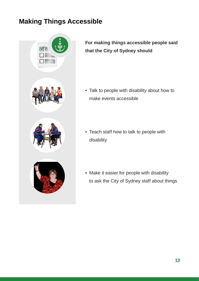# <span id="page-15-0"></span>**Making Things Accessible**



**For making things accessible people said that the City of Sydney should** 

- Talk to people with disability about how to make events accessible
- Teach staff how to talk to people with disability
- Make it easier for people with disability to ask the City of Sydney staff about things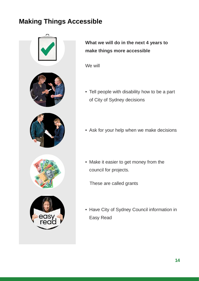# **Making Things Accessible**



**What we will do in the next 4 years to make things more accessible** 

We will

- Tell people with disability how to be a part of City of Sydney decisions
- Ask for your help when we make decisions
- Make it easier to get money from the council for projects.

These are called grants

• Have City of Sydney Council information in Easy Read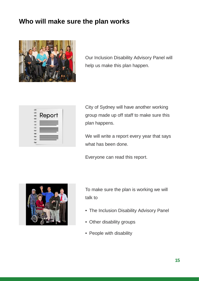#### <span id="page-17-0"></span>**Who will make sure the plan works**



Our Inclusion Disability Advisory Panel will help us make this plan happen.

| Report |  |
|--------|--|
| =      |  |
|        |  |
|        |  |

City of Sydney will have another working group made up off staff to make sure this plan happens.

We will write a report every year that says what has been done.

Everyone can read this report.



To make sure the plan is working we will talk to

- The Inclusion Disability Advisory Panel
- Other disability groups
- People with disability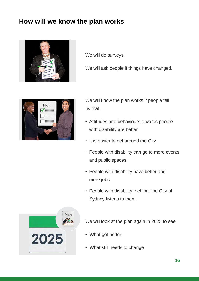### <span id="page-18-0"></span>**How will we know the plan works**



We will do surveys.

We will ask people if things have changed.



We will know the plan works if people tell us that

- Attitudes and behaviours towards people with disability are better
- It is easier to get around the City
- People with disability can go to more events and public spaces
- People with disability have better and more jobs
- People with disability feel that the City of Sydney listens to them



We will look at the plan again in 2025 to see

- What got better
- What still needs to change